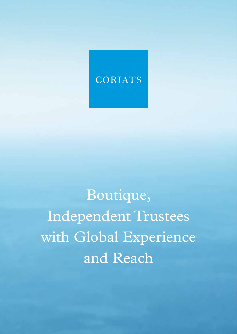## CORIATS

Boutique, Independent Trustees with Global Experience and Reach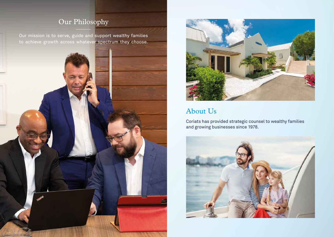Our mission is to serve, guide and support wealthy families to achieve growth across whatever spectrum they choose.





## Our Philosophy

## About Us

Coriats has provided strategic counsel to wealthy families and growing businesses since 1978.

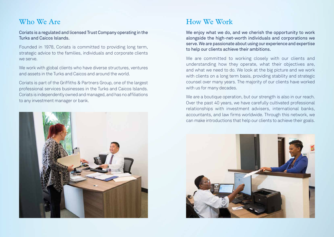Coriats is a regulated and licensed Trust Company operating in the Turks and Caicos Islands.

Founded in 1978, Coriats is committed to providing long term, strategic advice to the families, individuals and corporate clients we serve.

We work with global clients who have diverse structures, ventures and assets in the Turks and Caicos and around the world.

Coriats is part of the Griffiths & Partners Group, one of the largest professional services businesses in the Turks and Caicos Islands. Coriats is independently owned and managed, and has no affiliations to any investment manager or bank.



## Who We Are

We enjoy what we do, and we cherish the opportunity to work alongside the high-net-worth individuals and corporations we serve. We are passionate about using our experience and expertise to help our clients achieve their ambitions.

We are committed to working closely with our clients and understanding how they operate, what their objectives are, and what we need to do. We look at the big picture and we work with clients on a long term basis, providing stability and strategic counsel over many years. The majority of our clients have worked with us for many decades.

We are a boutique operation, but our strength is also in our reach. Over the past 40 years, we have carefully cultivated professional relationships with investment advisers, international banks, accountants, and law firms worldwide. Through this network, we can make introductions that help our clients to achieve their goals.



## How We Work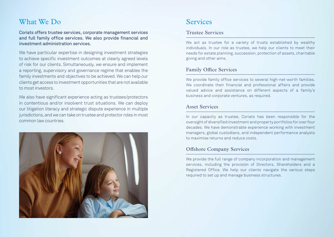## What We Do Services

Coriats offers trustee services, corporate management services and full family office services. We also provide financial and investment administration services.

We have particular expertise in designing investment strategies to achieve specific investment outcomes at clearly agreed levels of risk for our clients. Simultaneously, we ensure and implement a reporting, supervisory and governance regime that enables the family investments and objectives to be achieved. We can help our clients get access to investment opportunities that are not available to most investors.

We also have significant experience acting as trustees/protectors in contentious and/or insolvent trust situations. We can deploy our litigation literacy and strategic dispute experience in multiple jurisdictions, and we can take on trustee and protector roles in most common law countries.



#### Family Office Services

We provide family office services to several high-net-worth families. We coordinate their financial and professional affairs and provide valued advice and assistance on different aspects of a family's business and corporate ventures, as required.

#### Asset Services

In our capacity as trustee, Coriats has been responsible for the oversight of diversified investment and property portfolios for over four decades. We have demonstrable experience working with investment managers, global custodians, and independent performance analysts to maximise returns and reduce costs.

#### Offshore Company Services

We provide the full range of company incorporation and management services, including the provision of Directors, Shareholders and a Registered Office. We help our clients navigate the various steps required to set up and manage business structures.

#### Trustee Services

We act as trustee for a variety of trusts established by wealthy individuals. In our role as trustee, we help our clients to meet their needs for estate planning, succession, protection of assets, charitable giving and other aims.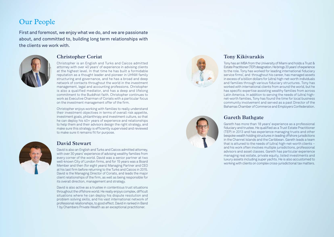## Our People

First and foremost, we enjoy what we do, and we are passionate about, and committed to, building long term relationships with the clients we work with.



#### **Christopher Coriat**

Christopher is an English and Turks and Caicos admitted attorney with over 40 years' of experience in advising clients at the highest level. In that time he has built a formidable reputation as a thought leader and pioneer in UHNW family structuring and governance, and he has a broad and deep network of contacts throughout the world in the investment management, legal and accounting professions. Christopher is also a qualified mediator, and has a deep and lifelong commitment to the Buddhist faith. Christopher continues to work as Executive Chairman of Coriats with a particular focus on the investment management offer of the firm.

Christopher enjoys working with families to really understand their investment objectives in terms of overall risk appetite, investment goals, philanthropy and investment culture, so that he can deploy his 40+ years of experience and relationships to help them and their advisors design the right strategy, and make sure this strategy is efficiently supervised and reviewed to make sure it remains fit for purpose.



#### **David Stewart**

David is also an English and Turks and Caicos admitted attorney, with over 30 years' experience of advising wealthy families from every corner of the world. David was a senior partner at two well-known City of London firms, and for 15 years was a Board Member and then (for eight years) Managing Partner and CEO at his last firm before returning to the Turks and Caicos in 2015. David is the Managing Director of Coriats, and leads the major client relationships of the firm, as well as being responsible for its overall direction, management and strategy.

David is also active as a trustee in contentious trust situations throughout the offshore world. He really enjoys complex, difficult situations where he can deploy his dispute resolution and problem solving skills, and his vast international network of professional relationships, to good effect. David in ranked in Band 1 by Chambers Private Wealth as an exceptional practitioner.



### **Tony Kikivarakis**

Tony has an MBA from the University of Miami and holds a Trust & Estate Practitioner (TEP) designation. He brings 20 years' of experience to the role. Tony has worked for leading international fiduciary service firms', and throughout his career, has managed assets in excess of a billion dollars for (ultra) high-net-worth individuals and families through various fiduciary structures. Tony has worked with international clients from around the world, but he has specific expertise assisting wealthy families from across Latin America. In addition to serving the needs of (ultra) highnet-worth families, Tony has found the time for local business community involvement and served as a past Director of the Bahamas Chamber of Commerce and Employers Confederation.

### **Gareth Bathgate**

Gareth has more than 18 years' experience as a professional fiduciary and trustee. He qualified as a Trust Estate Practitioner (TEP) in 2013 and has experience managing trusts and other bespoke wealth holding structures in leading offshore jurisdictions in the Channel Islands and the Caribbean. Gareth leads a team that is attuned to the needs of (ultra) high-net-worth clients – and his work often involves multiple jurisdictions, professional advisors and asset classes. Gareth has particular experience managing real estate, private equity, listed investments and luxury assets including super yachts. He is also accustomed to working with clients on complex cross-jurisdictional tax matters.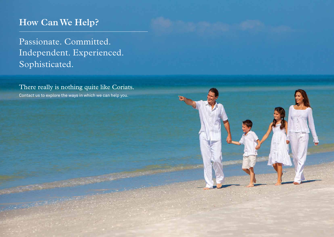# **How Can We Help?**

Passionate. Committed. Independent. Experienced. Sophisticated.

Contact us to explore the ways in which we can help you. There really is nothing quite like Coriats.